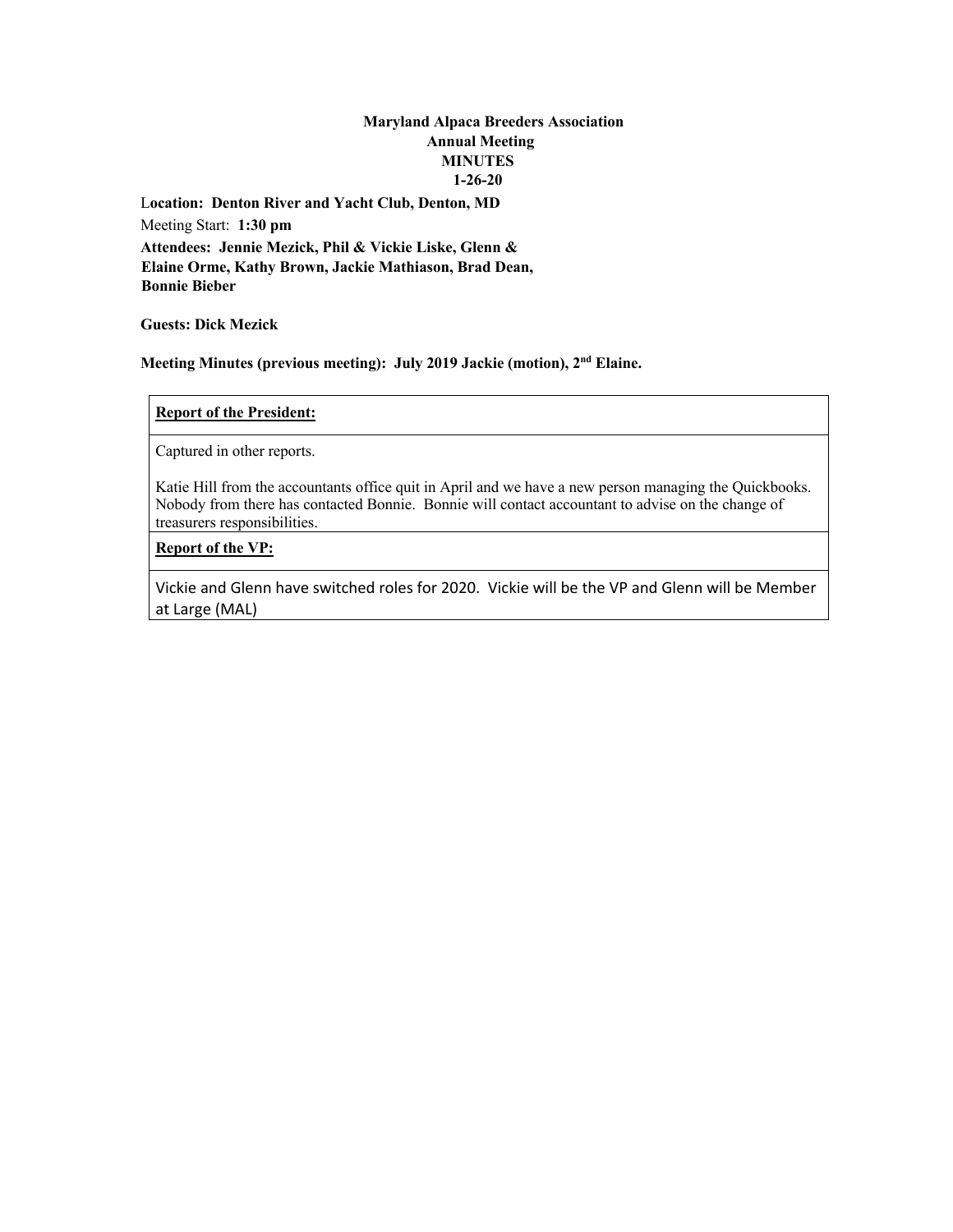# **Maryland Alpaca Breeders Association Annual Meeting MINUTES 1-26-20**

L**ocation: Denton River and Yacht Club, Denton, MD** Meeting Start: **1:30 pm Attendees: Jennie Mezick, Phil & Vickie Liske, Glenn & Elaine Orme, Kathy Brown, Jackie Mathiason, Brad Dean, Bonnie Bieber**

**Guests: Dick Mezick**

**Meeting Minutes (previous meeting): July 2019 Jackie (motion), 2nd Elaine.** 

# **Report of the President:**

Captured in other reports.

Katie Hill from the accountants office quit in April and we have a new person managing the Quickbooks. Nobody from there has contacted Bonnie. Bonnie will contact accountant to advise on the change of treasurers responsibilities.

# **Report of the VP:**

Vickie and Glenn have switched roles for 2020. Vickie will be the VP and Glenn will be Member at Large (MAL)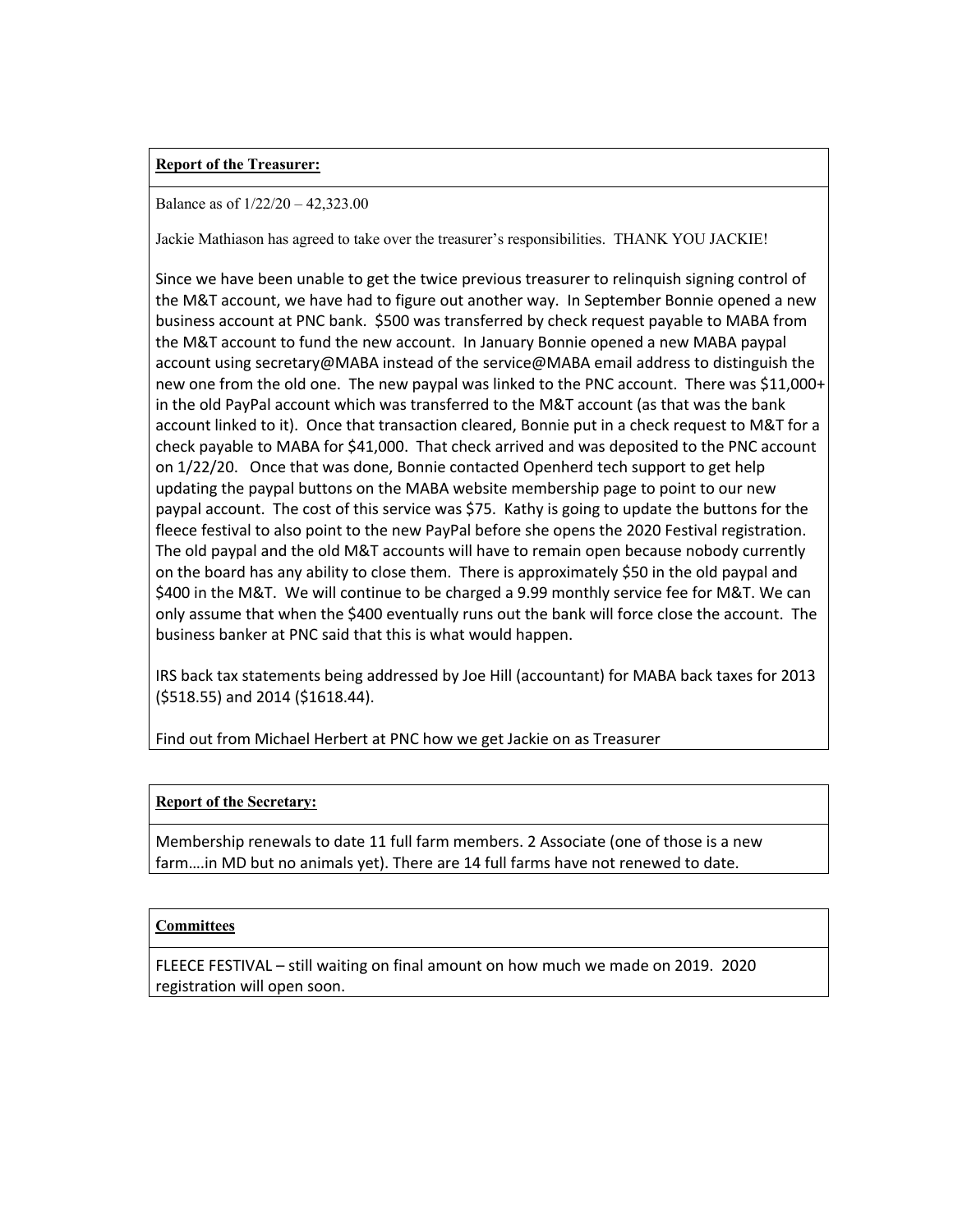# **Report of the Treasurer:**

#### Balance as of 1/22/20 – 42,323.00

Jackie Mathiason has agreed to take over the treasurer's responsibilities. THANK YOU JACKIE!

Since we have been unable to get the twice previous treasurer to relinquish signing control of the M&T account, we have had to figure out another way. In September Bonnie opened a new business account at PNC bank. \$500 was transferred by check request payable to MABA from the M&T account to fund the new account. In January Bonnie opened a new MABA paypal account using secretary@MABA instead of the service@MABA email address to distinguish the new one from the old one. The new paypal was linked to the PNC account. There was \$11,000+ in the old PayPal account which was transferred to the M&T account (as that was the bank account linked to it). Once that transaction cleared, Bonnie put in a check request to M&T for a check payable to MABA for \$41,000. That check arrived and was deposited to the PNC account on 1/22/20. Once that was done, Bonnie contacted Openherd tech support to get help updating the paypal buttons on the MABA website membership page to point to our new paypal account. The cost of this service was \$75. Kathy is going to update the buttons for the fleece festival to also point to the new PayPal before she opens the 2020 Festival registration. The old paypal and the old M&T accounts will have to remain open because nobody currently on the board has any ability to close them. There is approximately \$50 in the old paypal and \$400 in the M&T. We will continue to be charged a 9.99 monthly service fee for M&T. We can only assume that when the \$400 eventually runs out the bank will force close the account. The business banker at PNC said that this is what would happen.

IRS back tax statements being addressed by Joe Hill (accountant) for MABA back taxes for 2013 (\$518.55) and 2014 (\$1618.44).

Find out from Michael Herbert at PNC how we get Jackie on as Treasurer

# **Report of the Secretary:**

Membership renewals to date 11 full farm members. 2 Associate (one of those is a new farm….in MD but no animals yet). There are 14 full farms have not renewed to date.

# **Committees**

FLEECE FESTIVAL – still waiting on final amount on how much we made on 2019. 2020 registration will open soon.